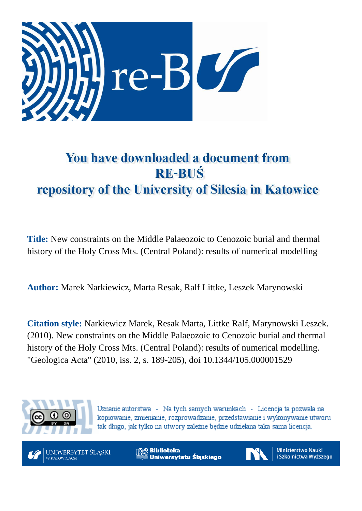

# You have downloaded a document from **RE-BUŚ** repository of the University of Silesia in Katowice

**Title:** New constraints on the Middle Palaeozoic to Cenozoic burial and thermal history of the Holy Cross Mts. (Central Poland): results of numerical modelling

**Author:** Marek Narkiewicz, Marta Resak, Ralf Littke, Leszek Marynowski

**Citation style:** Narkiewicz Marek, Resak Marta, Littke Ralf, Marynowski Leszek. (2010). New constraints on the Middle Palaeozoic to Cenozoic burial and thermal history of the Holy Cross Mts. (Central Poland): results of numerical modelling. "Geologica Acta" (2010, iss. 2, s. 189-205), doi 10.1344/105.000001529



Uznanie autorstwa - Na tych samych warunkach - Licencja ta pozwala na kopiowanie, zmienianie, rozprowadzanie, przedstawianie i wykonywanie utworu tak długo, jak tylko na utwory zależne będzie udzielana taka sama licencja.



**Biblioteka** Uniwersytetu Śląskiego



**Ministerstwo Nauki** i Szkolnictwa Wyższego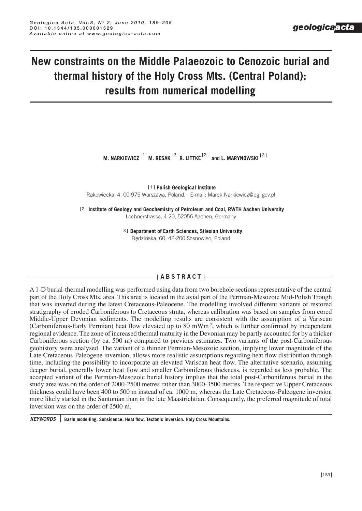## **New constraints on the Middle Palaeozoic to Cenozoic burial and thermal history of the Holy Cross Mts. (Central Poland): results from numerical modelling**

M. NARKIEWICZ  $\frac{|11|}{M}$ . RESAK  $\frac{|21|}{M}$ . LITTKE  $\frac{|21|}{M}$  and L. MARYNOWSKI  $\frac{|31|}{M}$ 

**11 Polish Geological Institute** Rakowiecka, 4, 00-975 Warszawa, Poland. E-mail: Marek.Narkiewicz@pgi.gov.pl

121 Institute of Geology and Geochemistry of Petroleum and Coal, RWTH Aachen University Lochnerstrasse, 4-20, 52056 Aachen, Germany

> **131 Department of Earth Sciences, Silesian University** Bedzińska, 60, 42-200 Sosnowiec, Poland

## $A$ **BSTRACT** $\vdash$

A 1-D burial-thermal modelling was performed using data from two borehole sections representative of the central part of the Holy Cross Mts. area. This area is located in the axial part of the Permian-Mesozoic Mid-Polish Trough that was inverted during the latest Cretaceous-Paleocene. The modelling involved different variants of restored stratigraphy of eroded Carboniferous to Cretaceous strata, whereas calibration was based on samples from cored Middle-Upper Devonian sediments. The modelling results are consistent with the assumption of a Variscan (Carboniferous-Early Permian) heat flow elevated up to 80 mWm-2, which is further confirmed by independent regional evidence. The zone of increased thermal maturity in the Devonian may be partly accounted for by a thicker Carboniferous section (by ca. 500 m) compared to previous estimates. Two variants of the post-Carboniferous geohistory were analysed. The variant of a thinner Permian-Mesozoic section, implying lower magnitude of the Late Cretaceous-Paleogene inversion, allows more realistic assumptions regarding heat flow distribution through time, including the possibility to incorporate an elevated Variscan heat flow. The alternative scenario, assuming deeper burial, generally lower heat flow and smaller Carboniferous thickness, is regarded as less probable. The accepted variant of the Permian-Mesozoic burial history implies that the total post-Carboniferous burial in the study area was on the order of 2000-2500 metres rather than 3000-3500 metres. The respective Upper Cretaceous thickness could have been 400 to 500 m instead of ca. 1000 m, whereas the Late Cretaceous-Paleogene inversion more likely started in the Santonian than in the late Maastrichtian. Consequently, the preferred magnitude of total inversion was on the order of 2500 m.

*KEYWORDS* **Basin modelling. subsidence. Heat flow. tectonic inversion. Holy Cross Mountains.**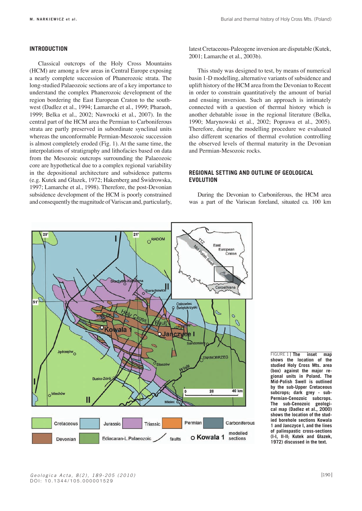## **iNtroDUCtioN**

Classical outcrops of the Holy Cross Mountains (HCM) are among a few areas in Central Europe exposing a nearly complete succession of Phanerozoic strata. The long-studied Palaeozoic sections are of a key importance to understand the complex Phanerozoic development of the region bordering the East European Craton to the southwest (Dadlez et al., 1994; Lamarche et al., 1999; Pharaoh, 1999; Belka et al., 2002; Nawrocki et al., 2007). In the central part of the HCM area the Permian to Carboniferous strata are partly preserved in subordinate synclinal units whereas the unconformable Permian-Mesozoic succession is almost completely eroded (Fig. 1). At the same time, the interpolations of stratigraphy and lithofacies based on data from the Mesozoic outcrops surrounding the Palaeozoic core are hypothetical due to a complex regional variability in the depositional architecture and subsidence patterns (e.g. Kutek and Głazek, 1972; Hakenberg and Świdrowska, 1997; Lamarche et al., 1998). Therefore, the post-Devonian subsidence development of the HCM is poorly constrained and consequently the magnitude of Variscan and, particularly,

latest Cretaceous-Paleogene inversion are disputable (Kutek, 2001; Lamarche et al., 2003b).

This study was designed to test, by means of numerical basin 1-D modelling, alternative variants of subsidence and uplift history of the HCM area from the Devonian to Recent in order to constrain quantitatively the amount of burial and ensuing inversion. Such an approach is intimately connected with a question of thermal history which is another debatable issue in the regional literature (Belka, 1990; Marynowski et al., 2002; Poprawa et al., 2005). Therefore, during the modelling procedure we evaluated also different scenarios of thermal evolution controlling the observed levels of thermal maturity in the Devonian and Permian-Mesozoic rocks.

## **reGioNaL settiNG aND oUtLiNe oF GeoLoGiCaL eVoLUtioN**

During the Devonian to Carboniferous, the HCM area was a part of the Variscan foreland, situated ca. 100 km



**inset** map **shows the location of the studied Holy Cross Mts. area (box) against the major regional units in Poland. the Mid-Polish swell is outlined by the sub-Upper Cretaceous subcrops; dark grey - sub-Permian-Cenozoic subcrops. the sub-Cenozoic geological map (Dadlez et al., 2000) shows the location of the studied borehole sections kowala 1 and Janczyce i, and the lines of palinspastic cross-sections (i-i, ii-ii; kutek and Głazek, 1972) discussed in the text.** FIGURE 1 | The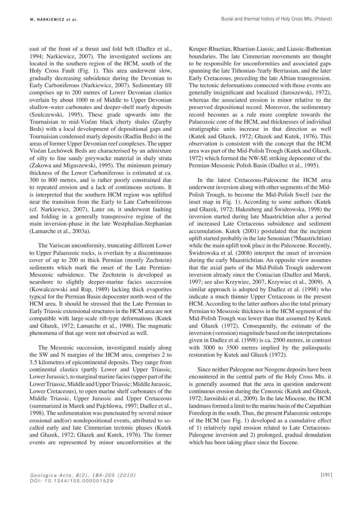east of the front of a thrust and fold belt (Dadlez et al., 1994; Narkiewicz, 2007). The investigated sections are located in the southern region of the HCM, south of the Holy Cross Fault (Fig. 1). This area underwent slow, gradually decreasing subsidence during the Devonian to Early Carboniferous (Narkiewicz, 2007). Sedimentary fill comprises up to 200 metres of Lower Devonian clastics overlain by about 1000 m of Middle to Upper Devonian shallow-water carbonates and deeper-shelf marly deposits (Szulczewski, 1995). These grade upwards into the Tournaisian to mid-Viséan black cherty shales (Zaręby Beds) with a local development of depositional gaps and Tournaisian condensed marly deposits (Radlin Beds) in the areas of former Upper Devonian reef complexes. The upper Viséan Lechówek Beds are characterised by an admixture of silty to fine sandy greywacke material in shaly strata (Żakowa and Migaszewski, 1995). The minimum primary thickness of the Lower Carboniferous is estimated at ca. 300 to 800 metres, and is rather poorly constrained due to repeated erosion and a lack of continuous sections. It is interpreted that the southern HCM region was uplifted near the transition from the Early to Late Carboniferous (cf. Narkiewicz, 2007). Later on, it underwent faulting and folding in a generally transpressive regime of the main inversion-phase in the late Westphalian-Stephanian (Lamarche et al., 2003a).

The Variscan unconformity, truncating different Lower to Upper Palaeozoic rocks, is overlain by a discontinuous cover of up to 200 m thick Permian (mostly Zechstein) sediments which mark the onset of the Late Permian-Mesozoic subsidence. The Zechstein is developed as nearshore to slightly deeper-marine facies succession (Kowalczewski and Rup, 1989) lacking thick evaporites typical for the Permian Basin depocenter north-west of the HCM area. It should be stressed that the Late Permian to Early Triassic extensional structures in the HCM area are not compatible with large-scale rift-type deformations (Kutek and Głazek, 1972; Lamarche et al., 1998). The magmatic phenomena of that age were not observed as well.

The Mesozoic succession, investigated mainly along the SW and N margins of the HCM area, comprises 2 to 3.5 kilometres of epicontinental deposits. They range from continental clastics (partly Lower and Upper Triassic, Lower Jurassic), to marginal marine facies (upper part of the Lower Triassic, Middle and Upper Triassic; Middle Jurassic, Lower Cretaceous), to open marine shelf carbonates of the Middle Triassic, Upper Jurassic and Upper Cretaceous (summarized in Marek and Pajchlowa, 1997; Dadlez et al., 1998). The sedimentation was punctuated by several minor erosional and(or) nondepositional events, attributed to socalled early and late Cimmerian tectonic phases (Kutek and Głazek, 1972; Głazek and Kutek, 1976). The former events are represented by minor unconformities at the Keuper-Rhaetian, Rhaetian-Liassic, and Liassic-Bathonian boundaries. The late Cimmerian movements are thought to be responsible for unconformities and associated gaps spanning the late Tithonian-?early Berriasian, and the later Early Cretaceous, preceding the late Albian transgression. The tectonic deformations connected with those events are generally insignificant and localized (Jaroszewski, 1972), whereas the associated erosion is minor relative to the preserved depositional record. Moreover, the sedimentary record becomes as a rule more complete towards the Palaeozoic core of the HCM, and thicknesses of individual stratigraphic units increase in that direction as well (Kutek and Głazek, 1972; Głazek and Kutek, 1976). This observation is consistent with the concept that the HCM area was part of the Mid-Polish Trough (Kutek and Głazek, 1972) which formed the NW-SE striking depocenter of the Permian-Mesozoic Polish Basin (Dadlez et al., 1995).

In the latest Cretaceous-Paleocene the HCM area underwent inversion along with other segments of the Mid-Polish Trough, to become the Mid-Polish Swell (see the inset map in Fig. 1). According to some authors (Kutek and Głazek, 1972; Hakenberg and Świdrowska, 1998) the inversion started during late Maastrichtian after a period of increased Late Cretaceous subsidence and sediment accumulation. Kutek (2001) postulated that the incipient uplift started probably in the late Senonian (?Maastrichtian) while the main uplift took place in the Paleocene. Recently, Świdrowska et al. (2008) interpret the onset of inversion during the early Maastrichtian. An opposite view assumes that the axial parts of the Mid-Polish Trough underwent inversion already since the Coniacian (Dadlez and Marek, 1997; see also Krzywiec, 2007, Krzywiec et al., 2009). A similar approach is adopted by Dadlez et al. (1998) who indicate a much thinner Upper Cretaceous in the present HCM. According to the latter authors also the total primary Permian to Mesozoic thickness in the HCM segment of the Mid-Polish Trough was lower than that assumed by Kutek and Głazek (1972). Consequently, the estimate of the inversion (=erosion) magnitude based on the interpretations given in Dadlez et al. (1998) is ca. 2500 metres, in contrast with 3000 to 3500 metres implied by the palinspastic restoration by Kutek and Głazek (1972).

Since neither Paleogene nor Neogene deposits have been encountered in the central parts of the Holy Cross Mts. it is generally assumed that the area in question underwent continuous erosion during the Cenozoic (Kutek and Głazek, 1972; Jarosiński et al., 2009). In the late Miocene, the HCM landmass formed a limit to the marine basin of the Carpathian Foredeep in the south. Thus, the present Palaeozoic outcrops of the HCM (see Fig. 1) developed as a cumulative effect of 1) relatively rapid erosion related to Late Cretaceous-Paleogene inversion and 2) prolonged, gradual denudation which has been taking place since the Eocene.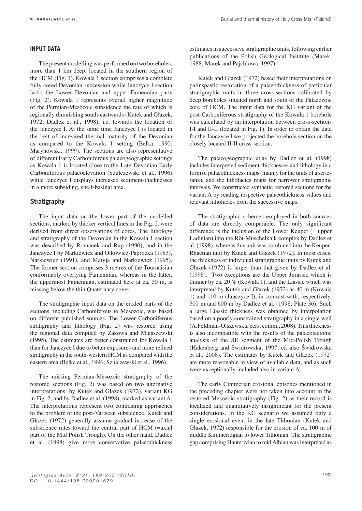## **iNPUt Data**

The present modelling was performed on two boreholes, more than 1 km deep, located in the southern region of the HCM (Fig. 1). Kowala 1 section comprises a complete fully cored Devonian succession while Janczyce I section lacks the Lower Devonian and upper Famennian parts (Fig. 2). Kowala 1 represents overall higher magnitude of the Permian-Mesozoic subsidence the rate of which is regionally dimnishing south-eastwards (Kutek and Głazek, 1972; Dadlez et al., 1998), i.e. towards the location of the Janczyce I. At the same time Janczyce I is located in the belt of increased thermal maturity of the Devonian as compared to the Kowala 1 setting (Belka, 1990; Marynowski, 1999). The sections are also representative of different Early Carboniferous palaeogeographic settings as Kowala 1 is located close to the Late Devonian-Early Carboniferous palaeoelevation (Szulczewski et al., 1996) while Janczyce I displays increased sediment-thicknesses in a more subsiding, shelf-basinal area.

## **Stratigraphy**

The input data on the lower part of the modelled sections, marked by thicker vertical lines in the Fig. 2, were derived from direct observations of cores. The lithology and stratigraphy of the Devonian in the Kowala 1 section was described by Romanek and Rup (1990), and in the Janczyce I by Narkiewicz and Olkowicz-Paprocka (1983), Narkiewicz (1991), and Matyja and Narkiewicz (1995). The former section comprises 3 metres of the Tournaisian conformably overlying Famennian, whereas in the latter, the uppermost Famennian, estimated here at ca. 50 m, is missing below the thin Quaternary cover.

The stratigraphic input data on the eroded parts of the sections, including Carboniferous to Mesozoic, was based on different published sources. The Lower Carboniferous stratigraphy and lithology (Fig. 2) was restored using the regional data compiled by Żakowa and Migaszewski (1995). The estimates are better constrained for Kowala 1 than for Janczyce I due to better exposures and more refined stratigraphy in the south-western HCM as compared with the eastern area (Belka et al., 1996; Szulczewski et al., 1996).

The missing Permian-Mesozoic stratigraphy of the restored sections (Fig. 2) was based on two alternative interpretations: by Kutek and Głazek (1972), variant KG in Fig. 2, and by Dadlez et al. (1998), marked as variant A. The interpretations represent two contrasting approaches to the problem of the post-Variscan subsidence. Kutek and Głazek (1972) generally assume gradual increase of the subsidence rates toward the central part of HCM (=axial part of the Mid Polish Trough). On the other hand, Dadlez et al. (1998) give more conservative palaeothickness estimates in successive stratigraphic units, following earlier publications of the Polish Geological Institute (Marek, 1988; Marek and Pajchlowa, 1997).

Kutek and Głazek (1972) based their interpretations on palinspastic restoration of a palaeothickness of particular stratigraphic units in three cross-sections calibrated by deep boreholes situated north and south of the Palaeozoic core of HCM. The input data for the KG variant of the post-Carboniferous stratigraphy of the Kowala 1 borehole was calculated by an interpolation between cross-sections I-I and II-II (located in Fig. 1). In order to obtain the data for the Janczyce I we projected the borehole section on the closely located II-II cross-section.

The palaeogeographic atlas by Dadlez et al. (1998) includes interpreted sediment-thicknesses and lithology in a form of palaeothickness maps (mainly for the units of a series rank), and the lithofacies maps for narrower stratigraphic intervals. We constructed synthetic restored sections for the variant A by reading respective palaeothickness values and relevant lithofacies from the successive maps.

The stratigraphic schemes employed in both sources of data are directly comparable. The only significant difference is the inclusion of the Lower Keuper (= upper Ladinian) into the Röt-Muschelkalk complex by Dadlez et al. (1998), whereas this unit was combined into the Keuper-Rhaetian unit by Kutek and Głazek (1972). In most cases, the thickness of individual stratigraphic units by Kutek and Głazek (1972) is larger than that given by Dadlez et al. (1998). Two exceptions are the Upper Jurassic which is thinner by ca. 20 % (Kowala 1), and the Liassic which was interpreted by Kutek and Głazek (1972) as 40 m (Kowala 1) and 110 m (Janczyce I), in contrast with, respectively, 500 m and 600 m by Dadlez et al. (1998; Plate 36). Such a large Liassic thickness was obtained by interpolation based on a poorly constrained stratigraphy in a single well (A.Feldman-Olszewska, pers. comm., 2008). This thickness is also incompatible with the results of the palaeotectonic analysis of the SE segment of the Mid-Polish Trough (Hakenberg and Świdrowska, 1997; cf. also Świdrowska et al., 2008). The estimates by Kutek and Głazek (1972) are more reasonable in view of available data, and as such were exceptionally included also in variant A.

The early Cimmerian erosional episodes mentioned in the preceding chapter were not taken into account in the restored Mesozoic stratigraphy (Fig. 2) as their record is localized and quantitatively insignificant for the present considerations. In the KG scenario we assumed only a single erosional event in the late Tithonian (Kutek and Głazek, 1972) responsible for the erosion of ca. 100 m of middle Kimmeridgian to lower Tithonian. The stratigraphic gap comprising Hauterivian to mid Albian was interpreted as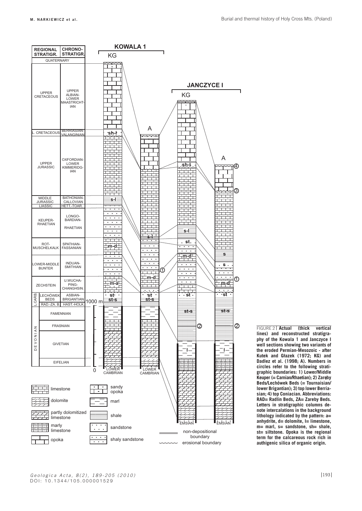

**actual (thick vertical lines) and reconstructed stratigraphy of the kowala 1 and Janczyce i well sections showing two variants of the eroded Permian-Mesozoic - after kutek and Głazek (1972; kG) and Dadlez et al. (1998; a). Numbers in circles refer to the following stratigraphic boundaries: 1) Lower/Middle Keuper (= Carnian/Rhaetian); 2) Zareby Beds/Lechówek Beds (= Tournaisian/ lower Brigantian); 3) top lower Berriasian; 4) top Coniacian. abbreviations: raD= radlin Beds, za= zareby Beds. Letters in stratigraphic columns denote intercalations in the background lithology indicated by the pattern: a= anhydrite, d= dolomite, l= limestone, m= marl, s= sandstone, sh= shale, st= siltstone. opoka is the regional term for the calcareous rock rich in authigenic silica of organic origin. FIGURE 2 | Actual**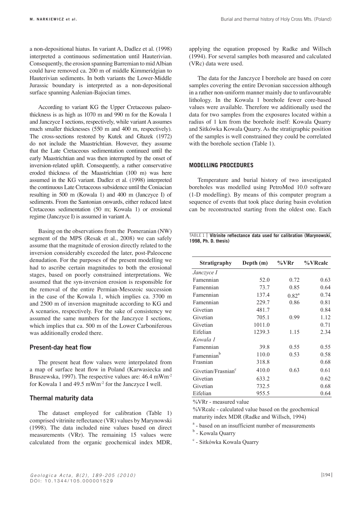a non-depositional hiatus. In variant A, Dadlez et al. (1998) interpreted a continuous sedimentation until Hauterivian. Consequently, the erosion spanning Barremian to mid Albian could have removed ca. 200 m of middle Kimmeridgian to Hauterivian sediments. In both variants the Lower-Middle Jurassic boundary is interpreted as a non-depositional surface spanning Aalenian-Bajocian times.

According to variant KG the Upper Cretaceous palaeothickness is as high as 1070 m and 990 m for the Kowala 1 and Janczyce I sections, respectively, while variant A assumes much smaller thicknesses (550 m and 400 m, respectively). The cross-sections restored by Kutek and Głazek (1972) do not include the Maastrichtian. However, they assume that the Late Cretaceous sedimentation continued until the early Maastrichtian and was then interrupted by the onset of inversion-related uplift. Consequently, a rather conservative eroded thickness of the Maastrichtian (100 m) was here assumed in the KG variant. Dadlez et al. (1998) interpreted the continuous Late Cretaceous subsidence until the Coniacian resulting in 500 m (Kowala 1) and 400 m (Janczyce I) of sediments. From the Santonian onwards, either reduced latest Cretaceous sedimentation (50 m; Kowala 1) or erosional regime (Janczyce I) is assumed in variant A.

Basing on the observations from the Pomeranian (NW) segment of the MPS (Resak et al., 2008) we can safely assume that the magnitude of erosion directly related to the inversion considerably exceeded the later, post-Paleocene denudation. For the purposes of the present modelling we had to ascribe certain magnitudes to both the erosional stages, based on poorly constrained interpretations. We assumed that the syn-inversion erosion is responsible for the removal of the entire Permian-Mesozoic succession in the case of the Kowala 1, which implies ca. 3700 m and 2500 m of inversion magnitude according to KG and A scenarios, respectively. For the sake of consistency we assumed the same numbers for the Janczyce I sections, which implies that ca. 500 m of the Lower Carboniferous was additionally eroded there.

## **Present-day heat flow**

The present heat flow values were interpolated from a map of surface heat flow in Poland (Karwasiecka and Bruszewska, 1997). The respective values are: 46.4 mWm-2 for Kowala 1 and 49.5 mWm-2 for the Janczyce I well.

## **Thermal maturity data**

The dataset employed for calibration (Table 1) comprised vitrinite reflectance (VR) values by Marynowski (1998). The data included nine values based on direct measurements (VRr). The remaining 15 values were calculated from the organic geochemical index MDR,

applying the equation proposed by Radke and Willsch (1994). For several samples both measured and calculated (VRc) data were used.

The data for the Janczyce I borehole are based on core samples covering the entire Devonian succession although in a rather non-uniform manner mainly due to unfavourable lithology. In the Kowala 1 borehole fewer core-based values were available. Therefore we additionally used the data for two samples from the exposures located within a radius of 1 km from the borehole itself: Kowala Quarry and Sitkówka Kowala Quarry. As the stratigraphic position of the samples is well constrained they could be correlated with the borehole section (Table 1).

## **MoDeLLiNG ProCeDUres**

Temperature and burial history of two investigated boreholes was modelled using PetroMod 10.0 software (1-D modelling). By means of this computer program a sequence of events that took place during basin evolution can be reconstructed starting from the oldest one. Each

#### **1998, Ph. D. thesis) Vitrinite reflectance data used for calibration (Marynowski,**  TABLE 1

| <b>Stratigraphy</b>            | Depth (m) | %VRr     | %VRcalc |
|--------------------------------|-----------|----------|---------|
| Janczyce I                     |           |          |         |
| Famennian                      | 52.0      | 0.72     | 0.63    |
| Famennian                      | 73.7      | 0.85     | 0.64    |
| Famennian                      | 137.4     | $0.82^a$ | 0.74    |
| Famennian                      | 229.7     | 0.86     | 0.81    |
| Givetian                       | 481.7     |          | 0.84    |
| Givetian                       | 705.1     | 0.99     | 1.12    |
| Givetian                       | 1011.0    |          | 0.71    |
| Eifelian                       | 1239.3    | 1.15     | 2.34    |
| Kowala 1                       |           |          |         |
| Famennian                      | 39.8      | 0.55     | 0.55    |
| b<br>Famennian                 | 110.0     | 0.53     | 0.58    |
| Frasnian                       | 318.8     |          | 0.68    |
| Givetian/Frasnian <sup>c</sup> | 410.0     | 0.63     | 0.61    |
| Givetian                       | 633.2     |          | 0.62    |
| Givetian                       | 732.5     |          | 0.68    |
| Eifelian                       | 955.5     |          | 0.64    |

%VRr - measured value

%VRcalc - calculated value based on the geochemical maturity index MDR (Radke and Willsch, 1994)

<sup>a</sup> - based on an insufficient number of measurements

<sup>b</sup> - Kowala Quarry

c - Sitkówka Kowala Quarry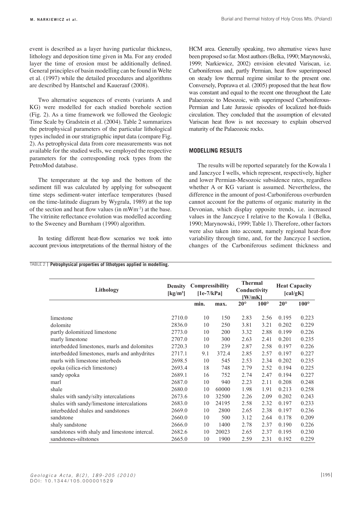event is described as a layer having particular thickness, lithology and deposition time given in Ma. For any eroded layer the time of erosion must be additionally defined. General principles of basin modelling can be found in Welte et al. (1997) while the detailed procedures and algorithms are described by Hantschel and Kauerauf (2008).

Two alternative sequences of events (variants A and KG) were modelled for each studied borehole section (Fig. 2). As a time framework we followed the Geologic Time Scale by Gradstein et al. (2004). Table 2 summarizes the petrophysical parameters of the particular lithological types included in our stratigraphic input data (compare Fig. 2). As petrophysical data from core measurements was not available for the studied wells, we employed the respective parameters for the corresponding rock types from the PetroMod database.

The temperature at the top and the bottom of the sediment fill was calculated by applying for subsequent time steps sediment-water interface temperatures (based on the time-latitude diagram by Wygrala, 1989) at the top of the section and heat flow values (in mWm-2) at the base. The vitrinite reflectance evolution was modelled according to the Sweeney and Burnham (1990) algorithm.

In testing different heat-flow scenarios we took into account previous interpretations of the thermal history of the HCM area. Generally speaking, two alternative views have been proposed so far. Most authors (Belka, 1990; Marynowski, 1999; Narkiewicz, 2002) envision elevated Variscan, i.e. Carboniferous and, partly Permian, heat flow superimposed on steady low thermal regime similar to the present one. Conversely, Poprawa et al. (2005) proposed that the heat flow was constant and equal to the recent one throughout the Late Palaeozoic to Mesozoic, with superimposed Carboniferous-Permian and Late Jurassic episodes of localized hot-fluids circulation. They concluded that the assumption of elevated Variscan heat flow is not necessary to explain observed maturity of the Palaeozoic rocks.

## **MoDeLLiNG resULts**

The results will be reported separately for the Kowala 1 and Janczyce I wells, which represent, respectively, higher and lower Permian-Mesozoic subsidence rates, regardless whether A or KG variant is assumed. Nevertheless, the difference in the amount of post-Carboniferous overburden cannot account for the patterns of organic maturity in the Devonian, which display opposite trends, i.e. increased values in the Janczyce I relative to the Kowala 1 (Belka, 1990; Marynowski, 1999; Table 1). Therefore, other factors were also taken into account, namely regional heat-flow variability through time, and, for the Janczyce I section, changes of the Carboniferous sediment thickness and

#### TABLE 2 **Petrophysical properties of lithotypes applied in modelling.** TABLE 2 **Petrophysical properties of lithotypes applied in modelling.**

| Lithology                                     | <b>Density</b><br>$\left[\mathrm{kg/m^3}\right]$ | Compressibility<br>$[1e-7/kPa]$ |       | <b>Thermal</b><br>Conductivity<br>[W/mK] |               | <b>Heat Capacity</b><br>[cal/gK] |             |
|-----------------------------------------------|--------------------------------------------------|---------------------------------|-------|------------------------------------------|---------------|----------------------------------|-------------|
|                                               |                                                  | min.                            | max.  | $20^{\circ}$                             | $100^{\circ}$ | $20^{\circ}$                     | $100^\circ$ |
| limestone                                     | 2710.0                                           | 10                              | 150   | 2.83                                     | 2.56          | 0.195                            | 0.223       |
| dolomite                                      | 2836.0                                           | 10                              | 250   | 3.81                                     | 3.21          | 0.202                            | 0.229       |
| partly dolomitized limestone                  | 2773.0                                           | 10                              | 200   | 3.32                                     | 2.88          | 0.199                            | 0.226       |
| marly limestone                               | 2707.0                                           | 10                              | 300   | 2.63                                     | 2.41          | 0.201                            | 0.235       |
| interbedded limestones, marls and dolomites   | 2720.3                                           | 10                              | 239   | 2.87                                     | 2.58          | 0.197                            | 0.226       |
| interbedded limestones, marls and anhydrites  | 2717.1                                           | 9.1                             | 372.4 | 2.85                                     | 2.57          | 0.197                            | 0.227       |
| marls with limestone interbeds                | 2698.5                                           | 10                              | 545   | 2.53                                     | 2.34          | 0.202                            | 0.235       |
| opoka (silica-rich limestone)                 | 2693.4                                           | 18                              | 748   | 2.79                                     | 2.52          | 0.194                            | 0.225       |
| sandy opoka                                   | 2689.1                                           | 16                              | 752   | 2.74                                     | 2.47          | 0.194                            | 0.227       |
| marl                                          | 2687.0                                           | 10                              | 940   | 2.23                                     | 2.11          | 0.208                            | 0.248       |
| shale                                         | 2680.0                                           | 10                              | 60000 | 1.98                                     | 1.91          | 0.213                            | 0.258       |
| shales with sandy/silty intercalations        | 2673.6                                           | 10                              | 32500 | 2.26                                     | 2.09          | 0.202                            | 0.243       |
| shales with sandy/limestone intercalations    | 2683.0                                           | 10                              | 24195 | 2.58                                     | 2.32          | 0.197                            | 0.233       |
| interbedded shales and sandstones             | 2669.0                                           | 10                              | 2800  | 2.65                                     | 2.38          | 0.197                            | 0.236       |
| sandstone                                     | 2660.0                                           | 10                              | 500   | 3.12                                     | 2.64          | 0.178                            | 0.209       |
| shaly sandstone                               | 2666.0                                           | 10                              | 1400  | 2.78                                     | 2.37          | 0.190                            | 0.226       |
| sandstones with shaly and limestone intercal. | 2682.6                                           | 10                              | 20023 | 2.65                                     | 2.37          | 0.195                            | 0.230       |
| sandstones-siltstones                         | 2665.0                                           | 10                              | 1900  | 2.59                                     | 2.31          | 0.192                            | 0.229       |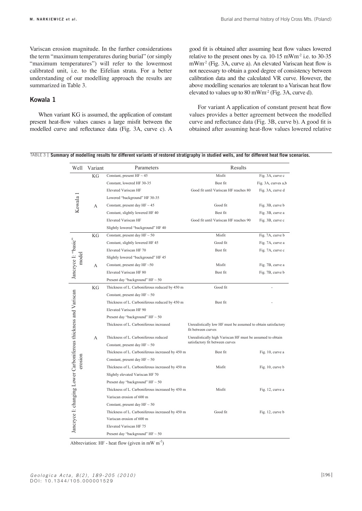Variscan erosion magnitude. In the further considerations the term "maximum temperatures during burial" (or simply "maximum temperatures") will refer to the lowermost calibrated unit, i.e. to the Eifelian strata. For a better understanding of our modelling approach the results are summarized in Table 3.

## **Kowala 1**

When variant KG is assumed, the application of constant present heat-flow values causes a large misfit between the modelled curve and reflectance data (Fig. 3A, curve c). A good fit is obtained after assuming heat flow values lowered relative to the present ones by ca. 10-15 mWm<sup>-2</sup> i.e. to 30-35 mWm-2 (Fig. 3A, curve a). An elevated Variscan heat flow is not necessary to obtain a good degree of consistency between calibration data and the calculated VR curve. However, the above modelling scenarios are tolerant to a Variscan heat flow elevated to values up to  $80 \text{ mWm}^2$  (Fig. 3A, curve d).

For variant A application of constant present heat flow values provides a better agreement between the modelled curve and reflectance data (Fig. 3B, curve b). A good fit is obtained after assuming heat-flow values lowered relative

|  |  | TABLE 3   Summary of modelling results for different variants of restored stratigraphy in studied wells, and for different heat flow scenarios. |  |
|--|--|-------------------------------------------------------------------------------------------------------------------------------------------------|--|
|  |  |                                                                                                                                                 |  |

| Well                                                            | Variant | Parameters                                       | Results                                                                             |                     |  |  |
|-----------------------------------------------------------------|---------|--------------------------------------------------|-------------------------------------------------------------------------------------|---------------------|--|--|
|                                                                 | KG      | Constant, present $HF \sim 45$                   | Misfit                                                                              | Fig. 3A, curve c    |  |  |
|                                                                 |         | Constant, lowered HF 30-35                       | Best fit                                                                            | Fig. 3A, curves a,b |  |  |
| Kowala 1                                                        |         | <b>Elevated Variscan HF</b>                      | Good fit until Variscan HF reaches 80                                               | Fig. 3A, curve d    |  |  |
|                                                                 |         | Lowered "background" HF 30-35                    |                                                                                     |                     |  |  |
|                                                                 | А       | Constant, present day HF $\sim$ 45               | Good fit                                                                            | Fig. 3B, curve b    |  |  |
|                                                                 |         | Constant, slightly lowered HF 40                 | Best fit                                                                            | Fig. 3B, curve a    |  |  |
|                                                                 |         | <b>Elevated Variscan HF</b>                      | Good fit until Variscan HF reaches 90                                               | Fig. 3B, curve c    |  |  |
|                                                                 |         | Slightly lowered "background" HF 40              |                                                                                     |                     |  |  |
|                                                                 | KG      | Constant, present day HF $\sim$ 50               | Misfit                                                                              | Fig. 7A, curve b    |  |  |
|                                                                 |         | Constant, slightly lowered HF 45                 | Good fit                                                                            | Fig. 7A, curve a    |  |  |
|                                                                 |         | Elevated Variscan HF 70                          | Best fit                                                                            | Fig. 7A, curve c    |  |  |
| Janczyce I: "basic"<br>model                                    |         | Slightly lowered "background" HF 45              |                                                                                     |                     |  |  |
|                                                                 | А       | Constant, present day HF ~50                     | Misfit                                                                              | Fig. 7B, curve a    |  |  |
|                                                                 |         | Elevated Variscan HF 80                          | Best fit                                                                            | Fig. 7B, curve b    |  |  |
|                                                                 |         | Present day "background" $HF \sim 50$            |                                                                                     |                     |  |  |
|                                                                 | KG      | Thickness of L. Carboniferous reduced by 450 m   | Good fit                                                                            |                     |  |  |
|                                                                 |         | Constant, present day HF $\sim$ 50               |                                                                                     |                     |  |  |
|                                                                 |         | Thickness of L. Carboniferous reduced by 450 m   | Best fit                                                                            |                     |  |  |
|                                                                 |         | Elevated Variscan HF 90                          |                                                                                     |                     |  |  |
|                                                                 |         | Present day "background" HF ~ 50                 |                                                                                     |                     |  |  |
|                                                                 |         | Thickness of L. Carboniferous increased          | Unrealistically low HF must be assumed to obtain satisfactory<br>fit between curves |                     |  |  |
|                                                                 | А       | Thickness of L. Carboniferous reduced            | Unrealistically high Variscan HF must be assumed to obtain                          |                     |  |  |
|                                                                 |         | Constant, present day HF $\sim$ 50               | satisfactory fit between curves                                                     |                     |  |  |
|                                                                 |         | Thickness of L. Carboniferous increased by 450 m | Best fit                                                                            | Fig. 10, curve a    |  |  |
| erosion                                                         |         | Constant, present day HF $\sim$ 50               |                                                                                     |                     |  |  |
|                                                                 |         | Thickness of L. Carboniferous increased by 450 m | Misfit                                                                              | Fig. 10, curve b    |  |  |
|                                                                 |         | Slightly elevated Variscan HF 70                 |                                                                                     |                     |  |  |
| Janczyce I: changing Lower Carboniferous thickness and Variscan |         | Present day "background" $HF \sim 50$            |                                                                                     |                     |  |  |
|                                                                 |         | Thickness of L. Carboniferous increased by 450 m | Misfit                                                                              | Fig. 12, curve a    |  |  |
|                                                                 |         | Variscan erosion of 600 m                        |                                                                                     |                     |  |  |
|                                                                 |         | Constant, present day HF $\sim$ 50               |                                                                                     |                     |  |  |
|                                                                 |         | Thickness of L. Carboniferous increased by 450 m | Good fit                                                                            | Fig. 12, curve b    |  |  |
|                                                                 |         | Variscan erosion of 600 m                        |                                                                                     |                     |  |  |
|                                                                 |         | Elevated Variscan HF 75                          |                                                                                     |                     |  |  |
|                                                                 |         | Present day "background" $HF \sim 50$            |                                                                                     |                     |  |  |

Abbreviation: HF - heat flow (given in mW  $m<sup>-2</sup>$ )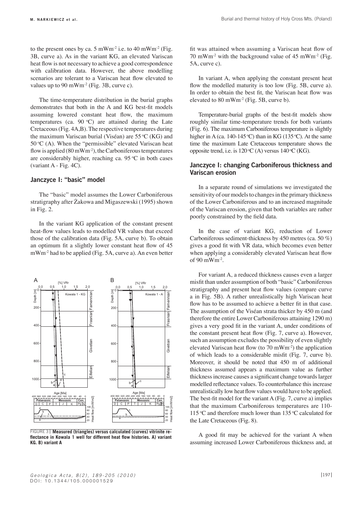to the present ones by ca. 5 mWm<sup>-2</sup> i.e. to 40 mWm<sup>-2</sup> (Fig. 3B, curve a). As in the variant KG, an elevated Variscan heat flow is not necessary to achieve a good correspondence with calibration data. However, the above modelling scenarios are tolerant to a Variscan heat flow elevated to values up to 90 mWm<sup>-2</sup> (Fig. 3B, curve c).

The time-temperature distribution in the burial graphs demonstrates that both in the A and KG best-fit models assuming lowered constant heat flow, the maximum temperatures (ca.  $90 °C$ ) are attained during the Late Cretaceous (Fig. 4A,B). The respective temperatures during the maximum Variscan burial (Viséan) are  $55^{\circ}$ C (KG) and  $50^{\circ}$ C (A). When the "permissible" elevated Variscan heat flow is applied  $(80 \text{ mWm}^{-2})$ , the Carboniferous temperatures are considerably higher, reaching ca. 95  $\degree$ C in both cases (variant A - Fig. 4C).

## **Janczyce I: "basic" model**

The "basic" model assumes the Lower Carboniferous stratigraphy after Żakowa and Migaszewski (1995) shown in Fig. 2.

In the variant KG application of the constant present heat-flow values leads to modelled VR values that exceed those of the calibration data (Fig. 5A, curve b). To obtain an optimum fit a slightly lower constant heat flow of 45 mWm<sup>2</sup> had to be applied (Fig. 5A, curve a). An even better



**Measured (triangles) versus calculated (curves) vitrinite re-**FIGURE 3**flectance in kowala 1 well for different heat flow histories. a) variant kG. B) variant a**

fit was attained when assuming a Variscan heat flow of 70 mWm<sup>-2</sup> with the background value of 45 mWm<sup>-2</sup> (Fig. 5A, curve c).

In variant A, when applying the constant present heat flow the modelled maturity is too low (Fig. 5B, curve a). In order to obtain the best fit, the Variscan heat flow was elevated to  $80 \text{ mWm}^2$  (Fig. 5B, curve b).

Temperature-burial graphs of the best-fit models show roughly similar time-temperature trends for both variants (Fig. 6). The maximum Carboniferous temperature is slightly higher in A (ca. 140-145 °C) than in KG (135 °C). At the same time the maximum Late Cretaceous temperature shows the opposite trend, i.e. is  $120\text{°C}$  (A) versus  $140\text{°C}$  (KG).

## **Janczyce I: changing Carboniferous thickness and Variscan erosion**

In a separate round of simulations we investigated the sensitivity of our models to changes in the primary thickness of the Lower Carboniferous and to an increased magnitude of the Variscan erosion, given that both variables are rather poorly constrained by the field data.

In the case of variant KG, reduction of Lower Carboniferous sediment-thickness by 450 metres (ca. 50 %) gives a good fit with VR data, which becomes even better when applying a considerably elevated Variscan heat flow of 90 mWm-2.

For variant A, a reduced thickness causes even a larger misfit than under assumption of both "basic" Carboniferous stratigraphy and present heat flow values (compare curve a in Fig. 5B). A rather unrealistically high Variscan heat flow has to be assumed to achieve a better fit in that case. The assumption of the Viséan strata thicker by 450 m (and therefore the entire Lower Carboniferous attaining 1290 m) gives a very good fit in the variant A, under conditions of the constant present heat flow (Fig. 7, curve a). However, such an assumption excludes the possibility of even slightly elevated Variscan heat flow (to 70 mWm-2) the application of which leads to a considerable misfit (Fig. 7, curve b). Moreover, it should be noted that 450 m of additional thickness assumed appears a maximum value as further thickness increase causes a significant change towards larger modelled reflectance values. To counterbalance this increase unrealistically low heat flow values would have to be applied. The best-fit model for the variant A (Fig. 7, curve a) implies that the maximum Carboniferous temperatures are 110- 115 °C and therefore much lower than 135 °C calculated for the Late Cretaceous (Fig. 8).

A good fit may be achieved for the variant A when assuming increased Lower Carboniferous thickness and, at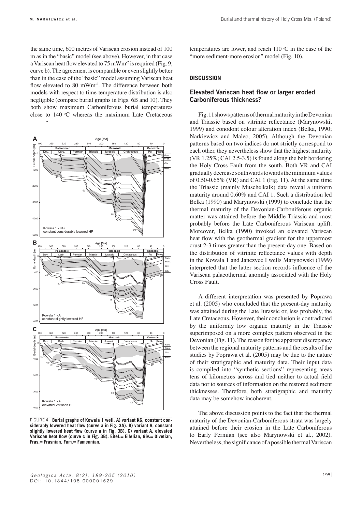the same time, 600 metres of Variscan erosion instead of 100 m as in the "basic" model (see above). However, in that case a Variscan heat flow elevated to 75 mWm-2 is required (Fig. 9, curve b). The agreement is comparable or even slightly better than in the case of the "basic" model assuming Variscan heat flow elevated to 80 mWm<sup>-2</sup>. The difference between both models with respect to time-temperature distribution is also negligible (compare burial graphs in Figs. 6B and 10). They both show maximum Carboniferous burial temperatures close to  $140 °C$  whereas the maximum Late Cretaceous Narkiewicz�et�al.,�Fig.�4�-�revised



**Burial graphs of kowala 1 well. a) variant kG, constant con-**FIGURE 4**siderably lowered heat flow (curve a in Fig. 3a). B) variant a, constant slightly lowered heat flow (curve a in Fig. 3B). C) variant a, elevated Variscan heat flow (curve c in Fig. 3B). eifel.= eifelian, Giv.= Givetian, Fras.= Frasnian, Fam.= Famennian.**

temperatures are lower, and reach  $110\,^{\circ}\text{C}$  in the case of the "more sediment-more erosion" model (Fig. 10).

## **DisCUssioN**

## **Elevated Variscan heat flow or larger eroded Carboniferous thickness?**

Fig. 11 shows patterns of thermal maturity in the Devonian and Triassic based on vitrinite reflectance (Marynowski, 1999) and conodont colour alteration index (Belka, 1990; Narkiewicz and Malec, 2005). Although the Devonian patterns based on two indices do not strictly correspond to each other, they nevertheless show that the highest maturity (VR 1.25%; CAI 2.5-3.5) is found along the belt bordering the Holy Cross Fault from the south. Both VR and CAI gradually decrease southwards towards the minimum values of 0.50-0.65% (VR) and CAI 1 (Fig. 11). At the same time the Triassic (mainly Muschelkalk) data reveal a uniform maturity around 0.60% and CAI 1. Such a distribution led Belka (1990) and Marynowski (1999) to conclude that the thermal maturity of the Devonian-Carboniferous organic matter was attained before the Middle Triassic and most probably before the Late Carboniferous Variscan uplift. Moreover, Belka (1990) invoked an elevated Variscan heat flow with the geothermal gradient for the uppermost crust 2-3 times greater than the present-day one. Based on the distribution of vitrinite reflectance values with depth in the Kowala 1 and Janczyce I wells Marynowski (1999) interpreted that the latter section records influence of the Variscan palaeothermal anomaly associated with the Holy Cross Fault.

A different interpretation was presented by Poprawa et al. (2005) who concluded that the present-day maturity was attained during the Late Jurassic or, less probably, the Late Cretaceous. However, their conclusion is contradicted by the uniformly low organic maturity in the Triassic superimposed on a more complex pattern observed in the Devonian (Fig. 11). The reason for the apparent discrepancy between the regional maturity patterns and the results of the studies by Poprawa et al. (2005) may be due to the nature of their stratigraphic and maturity data. Their input data is compiled into "synthetic sections" representing areas tens of kilometres across and tied neither to actual field data nor to sources of information on the restored sediment thicknesses. Therefore, both stratigraphic and maturity data may be somehow incoherent.

The above discussion points to the fact that the thermal maturity of the Devonian-Carboniferous strata was largely attained before their erosion in the Late Carboniferous to Early Permian (see also Marynowski et al., 2002). Nevertheless, the significance of a possible thermal Variscan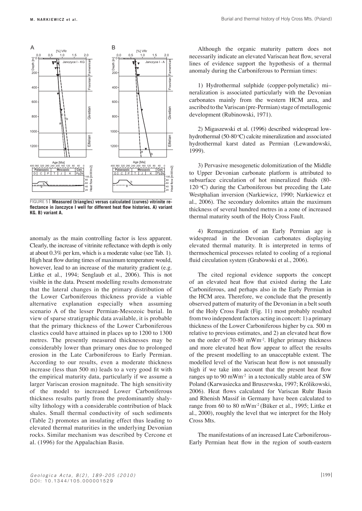

**Measured (triangles) versus calculated (curves) vitrinite re-**FIGURE 5**flectance in Janczyce i well for different heat flow histories. a) variant kG. B) variant a.**

anomaly as the main controlling factor is less apparent. Clearly, the increase of vitrinite reflectance with depth is only at about 0.3% per km, which is a moderate value (see Tab. 1). High heat flow during times of maximum temperature would, however, lead to an increase of the maturity gradient (e.g. Littke et al., 1994; Senglaub et al., 2006). This is not visible in the data. Present modelling results demonstrate that the lateral changes in the primary distribution of the Lower Carboniferous thickness provide a viable alternative explanation especially when assuming scenario A of the lesser Permian-Mesozoic burial. In view of sparse stratigraphic data available, it is probable that the primary thickness of the Lower Carboniferous clastics could have attained in places up to 1200 to 1300 metres. The presently measured thicknesses may be considerably lower than primary ones due to prolonged erosion in the Late Carboniferous to Early Permian. According to our results, even a moderate thickness increase (less than 500 m) leads to a very good fit with the empirical maturity data, particularly if we assume a larger Variscan erosion magnitude. The high sensitivity of the model to increased Lower Carboniferous thickness results partly from the predominantly shalysilty lithology with a considerable contribution of black shales. Small thermal conductivity of such sediments (Table 2) promotes an insulating effect thus leading to elevated thermal maturities in the underlying Devonian rocks. Similar mechanism was described by Cercone et al. (1996) for the Appalachian Basin.

Although the organic maturity pattern does not necessarily indicate an elevated Variscan heat flow, several lines of evidence support the hypothesis of a thermal anomaly during the Carboniferous to Permian times:

1) Hydrothermal sulphide (copper-polymetalic) mi– neralization is associated particularly with the Devonian carbonates mainly from the western HCM area, and ascribed to the Variscan (pre-Permian) stage of metallogenic development (Rubinowski, 1971).

2) Migaszewski et al. (1996) described widespread lowhydrothermal (50-80 °C) calcite mineralization and associated hydrothermal karst dated as Permian (Lewandowski, 1999).

3) Pervasive mesogenetic dolomitization of the Middle to Upper Devonian carbonate platform is attributed to subsurface circulation of hot mineralized fluids (80- 120 °C) during the Carboniferous but preceding the Late Westphalian inversion (Narkiewicz, 1990; Narkiewicz et al., 2006). The secondary dolomites attain the maximum thickness of several hundred metres in a zone of increased thermal maturity south of the Holy Cross Fault.

4) Remagnetization of an Early Permian age is widespread in the Devonian carbonates displaying elevated thermal maturity. It is interpreted in terms of thermochemical processes related to cooling of a regional fluid circulation system (Grabowski et al., 2006).

The cited regional evidence supports the concept of an elevated heat flow that existed during the Late Carboniferous, and perhaps also in the Early Permian in the HCM area. Therefore, we conclude that the presently observed pattern of maturity of the Devonian in a belt south of the Holy Cross Fault (Fig. 11) most probably resulted from two independent factors acting in concert: 1) a primary thickness of the Lower Carboniferous higher by ca. 500 m relative to previous estimates, and 2) an elevated heat flow on the order of 70-80 mWm-2. Higher primary thickness and more elevated heat flow appear to affect the results of the present modelling to an unacceptable extent. The modelled level of the Variscan heat flow is not unusually high if we take into account that the present heat flow ranges up to 90 mWm<sup>-2</sup> in a tectonically stable area of SW Poland (Karwasiecka and Bruszewska, 1997; Królikowski, 2006). Heat flows calculated for Variscan Ruhr Basin and Rhenish Massif in Germany have been calculated to range from 60 to 80 mWm-2 (Büker et al., 1995; Littke et al., 2000), roughly the level that we interpret for the Holy Cross Mts.

The manifestations of an increased Late Carboniferous-Early Permian heat flow in the region of south-eastern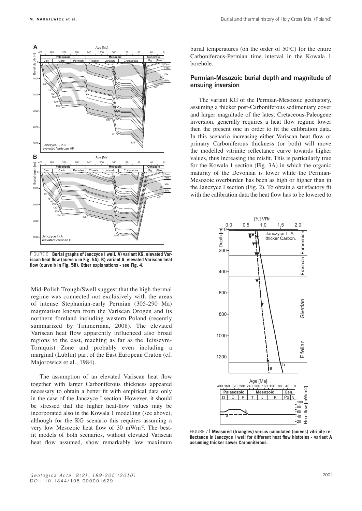

**Burial graphs of Janczyce i well. a) variant kG, elevated Var-**FIGURE 6 **iscan heat flow (curve c in Fig. 5a). B) variant a, elevated Variscan heat flow (curve b in Fig. 5B). other explanations - see Fig. 4.**

Mid-Polish Trough/Swell suggest that the high thermal regime was connected not exclusively with the areas of intense Stephanian-early Permian (305-290 Ma) magmatism known from the Variscan Orogen and its northern foreland including western Poland (recently summarized by Timmerman, 2008). The elevated Variscan heat flow apparently influenced also broad regions to the east, reaching as far as the Teisseyre-Tornquist Zone and probably even including a marginal (Lublin) part of the East European Craton (cf. Majorowicz et al., 1984).

The assumption of an elevated Variscan heat flow together with larger Carboniferous thickness appeared necessary to obtain a better fit with empirical data only in the case of the Janczyce I section. However, it should be stressed that the higher heat-flow values may be incorporated also in the Kowala 1 modelling (see above), although for the KG scenario this requires assuming a very low Mesozoic heat flow of 30 mWm-2. The bestfit models of both scenarios, without elevated Variscan heat flow assumed, show remarkably low maximum

burial temperatures (on the order of  $50^{\circ}$ C) for the entire Carboniferous-Permian time interval in the Kowala 1 borehole.

## **Permian-Mesozoic burial depth and magnitude of ensuing inversion**

The variant KG of the Permian-Mesozoic geohistory, assuming a thicker post-Carboniferous sedimentary cover and larger magnitude of the latest Cretaceous-Paleogene inversion, generally requires a heat flow regime lower then the present one in order to fit the calibration data. In this scenario increasing either Variscan heat flow or primary Carboniferous thickness (or both) will move the modelled vitrinite reflectance curve towards higher values, thus increasing the misfit. This is particularly true for the Kowala 1 section (Fig. 3A) in which the organic  $\frac{1}{\text{Fam}}$  maturity of the Devonian is lower while the Permian-Mesozoic overburden has been as high or higher than in the Janczyce I section (Fig. 2). To obtain a satisfactory fit with the calibration data the heat flow has to be lowered to



**Measured (triangles) versus calculated (curves) vitrinite re-**FIGURE 7**flectance in Janczyce i well for different heat flow histories - variant a assuming thicker Lower Carboniferous.**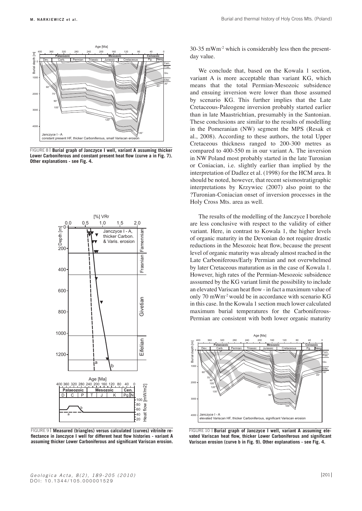

FIGURE 8 | **Burial graph of Janczyce I well, variant A assuming thicker Lower Carboniferous and constant present heat flow (curve a in Fig. 7). other explanations - see Fig. 4.**



**Measured (triangles) versus calculated (curves) vitrinite re-**FIGURE 9 **flectance in Janczyce i well for different heat flow histories - variant a assuming thicker Lower Carboniferous and significant Variscan erosion.**

30-35 mWm-2 which is considerably less then the presentday value.

We conclude that, based on the Kowala 1 section, variant A is more acceptable than variant KG, which means that the total Permian-Mesozoic subsidence and ensuing inversion were lower than those assumed by scenario KG. This further implies that the Late Cretaceous-Paleogene inversion probably started earlier than in late Maastrichtian, presumably in the Santonian. These conclusions are similar to the results of modelling in the Pomeranian (NW) segment the MPS (Resak et al., 2008). According to these authors, the total Upper Cretaceous thickness ranged to 200-300 metres as compared to 400-550 m in our variant A. The inversion in NW Poland most probably started in the late Turonian or Coniacian, i.e. slightly earlier than implied by the interpretation of Dadlez et al. (1998) for the HCM area. It should be noted, however, that recent seismostratigraphic interpretations by Krzywiec (2007) also point to the ?Turonian-Coniacian onset of inversion processes in the Holy Cross Mts. area as well.

The results of the modelling of the Janczyce I borehole are less conclusive with respect to the validity of either variant. Here, in contrast to Kowala 1, the higher levels of organic maturity in the Devonian do not require drastic reductions in the Mesozoic heat flow, because the present level of organic maturity was already almost reached in the Late Carboniferous/Early Permian and not overwhelmed by later Cretaceous maturation as in the case of Kowala 1. However, high rates of the Permian-Mesozoic subsidence asssumed by the KG variant limit the possibility to include an elevated Variscan heat flow - in fact a maximum value of only  $70 \text{ mWm}^2$  would be in accordance with scenario KG in this case. In the Kowala 1 section much lower calculated maximum burial temperatures for the Carboniferous-Permian are consistent with both lower organic maturity



FIGURE 10 | Burial graph of Janczyce I well, variant A assuming ele**vated Variscan heat flow, thicker Lower Carboniferous and significant Variscan erosion (curve b in Fig. 9). other explanations - see Fig. 4.**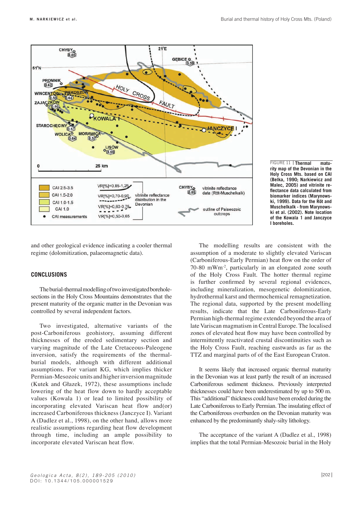



and other geological evidence indicating a cooler thermal regime (dolomitization, palaeomagnetic data).

## **CoNCLUsioNs**

The burial-thermal modelling of two investigated boreholesections in the Holy Cross Mountains demonstrates that the present maturity of the organic matter in the Devonian was controlled by several independent factors.

Two investigated, alternative variants of the post-Carboniferous geohistory, assuming different thicknesses of the eroded sedimentary section and varying magnitude of the Late Cretaceous-Paleogene inversion, satisfy the requirements of the thermalburial models, although with different additional assumptions. For variant KG, which implies thicker Permian-Mesozoic units and higher inversion magnitude (Kutek and Głazek, 1972), these assumptions include lowering of the heat flow down to hardly acceptable values (Kowala 1) or lead to limited possibility of incorporating elevated Variscan heat flow and(or) increased Carboniferous thickness (Janczyce I). Variant A (Dadlez et al., 1998), on the other hand, allows more realistic assumptions regarding heat flow development through time, including an ample possibility to incorporate elevated Variscan heat flow.

The modelling results are consistent with the assumption of a moderate to slightly elevated Variscan (Carboniferous-Early Permian) heat flow on the order of 70-80 mWm-2, particularly in an elongated zone south of the Holy Cross Fault. The hotter thermal regime is further confirmed by several regional evidences, including mineralization, mesogenetic dolomitization, hydrothermal karst and thermochemical remagnetization. The regional data, supported by the present modelling results, indicate that the Late Carboniferous-Early Permian high-thermal regime extended beyond the area of late Variscan magmatism in Central Europe. The localised zones of elevated heat flow may have been controlled by intermittently reactivated crustal discontinuities such as the Holy Cross Fault, reaching eastwards as far as the TTZ and marginal parts of of the East European Craton.

It seems likely that increased organic thermal maturity in the Devonian was at least partly the result of an increased Carboniferous sediment thickness. Previously interpreted thicknesses could have been underestimated by up to 500 m. This "additional" thickness could have been eroded during the Late Carboniferous to Early Permian. The insulating effect of the Carboniferous overburden on the Devonian maturity was enhanced by the predominantly shaly-silty lithology.

The acceptance of the variant A (Dadlez et al., 1998) implies that the total Permian-Mesozoic burial in the Holy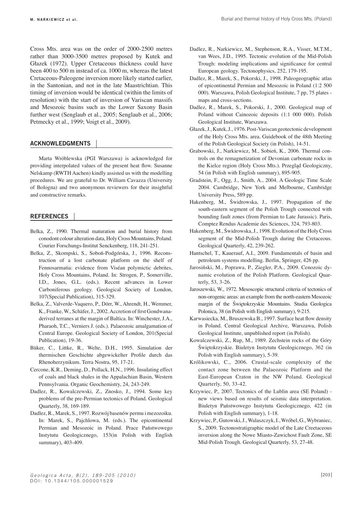Cross Mts. area was on the order of 2000-2500 metres rather than 3000-3500 metres proposed by Kutek and Głazek (1972). Upper Cretaceous thickness could have been 400 to 500 m instead of ca. 1000 m, whereas the latest Cretaceous-Paleogene inversion more likely started earlier, in the Santonian, and not in the late Maastrichtian. This timing of inversion would be identical (within the limits of resolution) with the start of inversion of Variscan massifs and Mesozoic basins such as the Lower Saxony Basin further west (Senglaub et al., 2005; Senglaub et al., 2006; Petmecky et al., 1999; Voigt et al., 2009).

## **ACKNOWLEDGMENTS**

Marta Wróblewska (PGI Warszawa) is acknowledged for providing interpolated values of the present heat flow. Susanne Nelskamp (RWTH Aachen) kindly assisted us with the modelling procedures. We are grateful to Dr. William Cavazza (University of Bologna) and two anonymous reviewers for their insightful and constructive remarks.

#### **REFERENCES**

- Belka, Z., 1990. Thermal maturation and burial history from conodont colour alteration data, Holy Cross Mountains, Poland. Courier Forschungs-Institut Senckenberg, 118, 241-251.
- Belka, Z., Skompski, S., Soboń-Podgórska, J., 1996. Reconstruction of a lost carbonate platform on the shelf of Fennosarmatia: evidence from Viséan polymictic debrites, Holy Cross Mountains, Poland. In: Strogen, P., Somerville, I.D., Jones, G.L. (eds.). Recent advances in Lower Carboniferous geology. Geological Society of London, 107(Special Publication), 315-329.
- Belka, Z., Valverde-Vaquero, P., Dörr, W., Ahrendt, H., Wemmer, K., Franke, W., Schäfer, J., 2002. Accretion of first Gondwanaderived terranes at the margin of Baltica. In: Winchester, J.A., Pharaoh, T.C., Verniers J. (eds.). Palaeozoic amalgamation of Central Europe. Geological Society of London, 201(Special Publication), 19-36.
- Büker, C., Littke, R., Welte, D.H., 1995. Simulation der thermischen Geschichte abgewickelter Profile durch das Rhenoherzynikum. Terra Nostra, 95, 17-21.
- Cercone, K.R., Deming, D., Pollack, H.N., 1996. Insulating effect of coals and black shales in the Appalachian Basin, Western Pennsylvania. Organic Geochemistry, 24, 243-249.
- Dadlez, R., Kowalczewski, Z., Znosko, J., 1994. Some key problems of the pre-Permian tectonics of Poland. Geological Quarterly, 38, 169-189.
- Dadlez, R., Marek, S., 1997. Rozwój basenów permu i mezozoiku. In: Marek, S., Pajchlowa, M. (eds.). The epicontinental Permian and Mesozoic in Poland. Prace Państwowego Instytutu Geologicznego, 153(in Polish with English summary), 403-409.
- Dadlez, R., Narkiewicz, M., Stephenson, R.A., Visser, M.T.M., van Wees, J.D., 1995. Tectonic evolution of the Mid-Polish Trough: modeling implications and significance for central European geology. Tectonophysics, 252, 179-195.
- Dadlez, R., Marek, S., Pokorski, J., 1998. Paleogeographic atlas of epicontinental Permian and Mesozoic in Poland (1:2 500 000). Warszawa, Polish Geological Institute, 7 pp, 75 plates maps and cross-sections.
- Dadlez, R., Marek, S., Pokorski, J., 2000. Geological map of Poland without Cainozoic deposits (1:1 000 000). Polish Geological Institute, Warszawa.
- Głazek, J., Kutek, J., 1976. Post-Variscan geotectonic development of the Holy Cross Mts. area. Guidebook of the 48th Meeting of the Polish Geological Society (in Polish), 14-51.
- Grabowski, J., Narkiewicz, M., Sobień, K., 2006. Thermal controls on the remagnetization of Devonian carbonate rocks in the Kielce region (Holy Cross Mts.). Przegląd Geologiczny, 54 (in Polish with English summary), 895-905.
- Gradstein, F., Ogg, J., Smith, A., 2004. A Geologic Time Scale 2004. Cambridge, New York and Melbourne, Cambridge University Press, 589 pp.
- Hakenberg, M., Świdrowska, J., 1997. Propagation of the south-eastern segment of the Polish Trough connected with bounding fault zones (from Permian to Late Jurassic). Paris, Comptez Rendus Academie des Sciences, 324, 793-803.
- Hakenberg, M., Świdrowska, J., 1998. Evolution of the Holy Cross segment of the Mid-Polish Trough during the Cretaceous. Geological Quarterly, 42, 239-262.
- Hantschel, T., Kauerauf, A.I., 2009. Fundamentals of basin and petroleum systems modelling. Berlin, Springer, 426 pp.
- Jarosiński, M., Poprawa, P., Ziegler, P.A., 2009. Cenozoic dynamic evolution of the Polish Platform. Geological Quarterly, 53, 3-26.
- Jaroszewski, W., 1972. Mesoscopic structural criteria of tectonics of non-orogenic areas: an example from the north-eastern Mesozoic margin of the Świętokrzyskie Mountains. Studia Geologica Polonica, 38 (in Polish with English summary), 9-215.
- Karwasiecka, M., Bruszewska B., 1997. Surface heat flow density in Poland. Central Geological Archive, Warszawa, Polish Geological Institute, unpublished report (in Polish).
- Kowalczewski, Z., Rup, M., 1989. Zechstein rocks of the Góry Świętokrzyskie. Biuletyn Instytutu Geologicznego, 362 (in Polish with English summary), 5-39.
- Królikowski, C., 2006. Crustal-scale complexity of the contact zone between the Palaeozoic Platform and the East-European Craton in the NW Poland. Geological Quarterly, 50, 33-42.
- Krzywiec, P., 2007. Tectonics of the Lublin area (SE Poland) new views based on results of seismic data interpretation. Biuletyn Państwowego Instytutu Geologicznego, 422 (in Polish with English summary), 1-18.
- Krzywiec, P., Gutowski, J., Walaszczyk, I., Wróbel, G., Wybraniec, S., 2009. Tectonostratigraphic model of the Late Creetaceous inversion along the Nowe Miasto-Zawichost Fault Zone, SE Mid-Polish Trough. Geological Quarterly, 53, 27-48.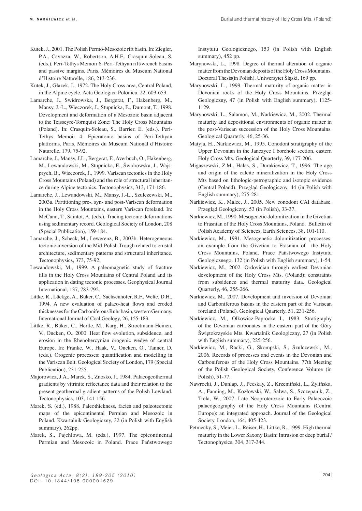- Kutek, J., 2001. The Polish Permo-Mesozoic rift basin. In: Ziegler, P.A., Cavazza, W., Robertson, A.H.F., Crasquin-Soleau, S. (eds.). Peri-Tethys Memoir 6: Peri-Tethyan rift/wrench basins and passive margins. Paris, Mémoires du Museum National d'Histoire Naturelle, 186, 213-236.
- Kutek, J., Głazek, J., 1972. The Holy Cross area, Central Poland, in the Alpine cycle. Acta Geologica Polonica, 22, 603-653.
- Lamarche, J., Swidrowska, J., Bergerat, F., Hakenberg, M., Mansy, J.-L., Wieczorek, J., Stupnicka, E., Dumont, T., 1998. Development and deformation of a Mesozoic basin adjacent to the Teisseyre-Tornquist Zone: The Holy Cross Mountains (Poland). In: Crasquin-Soleau, S., Barrier, E. (eds.). Peri-Tethys Memoir 4: Epicratonic basins of Peri-Tethyan platforms. Paris, Mémoires du Museum National d'Histoire Naturelle, 179, 75-92.
- Lamarche, J., Mansy, J.L., Bergerat, F., Averbuch, O., Hakenberg, M., Lewandowski, M., Stupnicka, E., Świdrowska, J., Wajsprych, B., Wieczorek, J., 1999. Variscan tectonics in the Holy Cross Mountains (Poland) and the role of structural inheritance during Alpine tectonics. Tectonophysics, 313, 171-186.
- Lamarche, J., Lewandowski, M., Mansy, J.-L., Szulczewski, M., 2003a. Partitioning pre-, syn- and post-Variscan deformation in the Holy Cross Mountains, eastern Variscan foreland. In: McCann, T., Saintot, A. (eds.). Tracing tectonic deformations using sedimentary record. Geological Society of London, 208 (Special Publication), 159-184.
- Lamarche, J., Scheck, M., Lewerenz, B., 2003b. Heterogeneous tectonic inversion of the Mid-Polish Trough related to crustal architecture, sedimentary patterns and structural inheritance. Tectonophysics, 373, 75-92.
- Lewandowski, M., 1999. A paleomagnetic study of fracture fills in the Holy Cross Mountains of Central Poland and its application in dating tectonic processes. Geophysical Journal International, 137, 783-792.
- Littke, R., Lückge, A., Büker, C., Sachsenhofer, R.F., Welte, D.H., 1994. A new evaluation of palaeo-heat flows and eroded thicknesses for the Carboniferous Ruhr basin, western Germany. International Journal of Coal Geology, 26, 155-183.
- Littke, R., Büker, C., Hertle, M., Karg, H., Stroetmann-Heinen, V., Oncken, O., 2000. Heat flow evolution, subsidence, and erosion in the Rhenohercynian orogenic wedge of central Europe. In: Franke, W., Haak, V., Oncken, O., Tanner, D. (eds.). Orogenic processes: quantification and modelling in the Variscan Belt. Geological Society of London, 179 (Special Publication), 231-255.
- Majorowicz, J.A., Marek, S., Znosko, J., 1984. Palaeogeothermal gradients by vitrinite reflectance data and their relation to the present geothermal gradient patterns of the Polish Lowland. Tectonophysics, 103, 141-156.
- Marek, S. (ed.), 1988. Paleothickness, facies and paleotectonic maps of the epicontinental Permian and Mesozoic in Poland. Kwartalnik Geologiczny, 32 (in Polish with English summary), 262pp.
- Marek, S., Pajchlowa, M. (eds.), 1997. The epicontinental Permian and Mesozoic in Poland. Prace Państwowego

Instytutu Geologicznego, 153 (in Polish with English summary), 452 pp.

- Marynowski, L., 1998. Degree of thermal alteration of organic matter from the Devonian deposits of the Holy Cross Mountains. Doctoral Thesis(in Polish). Uniwersytet Śląski, 169 pp.
- Marynowski, L., 1999. Thermal maturity of organic matter in Devonian rocks of the Holy Cross Mountains. Przegląd Geologiczny, 47 (in Polish with English summary), 1125- 1129.
- Marynowski, L., Salamon, M., Narkiewicz, M., 2002. Thermal maturity and depositional environments of organic matter in the post-Variscan succession of the Holy Cross Mountains. Geological Quarterly, 46, 25-36.
- Matyja, H., Narkiewicz, M., 1995. Conodont stratigraphy of the Upper Devonian in the Janczyce I borehole section, eastern Holy Cross Mts. Geological Quarterly, 39, 177-206.
- Migaszewski, Z.M., Hałas, S., Durakiewicz, T., 1996. The age and origin of the calcite mineralization in the Holy Cross Mts based on lithologic-petrographic and isotopic evidence (Central Poland). Przegląd Geologiczny, 44 (in Polish with English summary), 275-281.
- Narkiewicz, K., Malec, J., 2005. New conodont CAI database. Przegląd Geologiczny, 53 (in Polish), 33-37.
- Narkiewicz, M., 1990. Mesogenetic dolomitization in the Givetian to Frasnian of the Holy Cross Mountains, Poland. Bulletin of Polish Academy of Sciences, Earth Sciences, 38, 101-110.
- Narkiewicz, M., 1991. Mesogenetic dolomitization processes: an example from the Givetian to Frasnian of the Holy Cross Mountains, Poland. Prace Państwowego Instytutu Geologicznego, 132 (in Polish with English summary), 1-54.
- Narkiewicz, M., 2002. Ordovician through earliest Devonian development of the Holy Cross Mts. (Poland): constraints from subsidence and thermal maturity data. Geological Quarterly, 46, 255-266.
- Narkiewicz, M., 2007. Development and inversion of Devonian and Carboniferous basins in the eastern part of the Variscan foreland (Poland). Geological Quarterly, 51, 231-256.
- Narkiewicz, M., Olkowicz-Paprocka I., 1983. Stratigraphy of the Devonian carbonates in the eastern part of the Góry Świętokrzyskie Mts. Kwartalnik Geologiczny, 27 (in Polish with English summary), 225-256.
- Narkiewicz, M., Racki, G., Skompski, S., Szulczewski, M., 2006. Records of processes and events in the Devonian and Carboniferous of the Holy Cross Mountains. 77th Meeting of the Polish Geological Society, Conference Volume (in Polish), 51-77.
- Nawrocki, J., Dunlap, J., Pecskay, Z., Krzemiński, L., Żylińska, A., Fanning, M., Kozłowski, W., Salwa, S., Szczepanik, Z., Trela, W., 2007. Late Neoproterozoic to Early Palaeozoic palaeogeography of the Holy Cross Mountains (Central Europe): an integrated approach. Journal of the Geological Society, London, 164, 405-423.
- Petmecky, S., Meier, L., Reiser, H., Littke, R., 1999. High thermal maturity in the Lower Saxony Basin: Intrusion or deep burial? Tectonophysics, 304, 317-344.